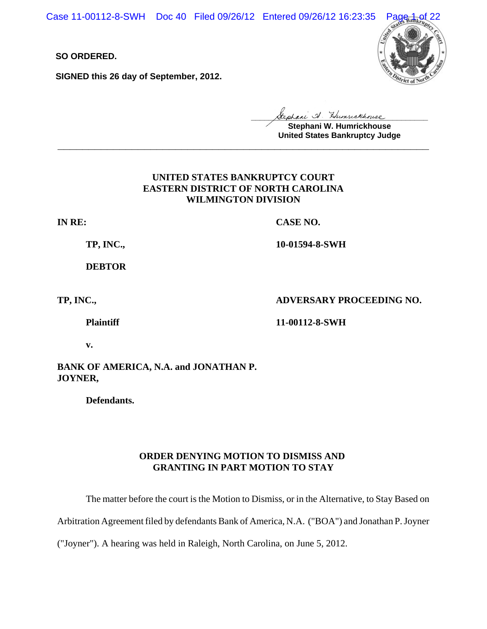Case 11-00112-8-SWH Doc 40 Filed 09/26/12 Entered 09/26/12 16:23:35

**SO ORDERED.**

**SIGNED this 26 day of September, 2012.**



**\_\_\_\_\_\_\_\_\_\_\_\_\_\_\_\_\_\_\_\_\_\_\_\_\_\_\_\_\_\_\_\_\_\_\_\_\_\_\_\_**

**Stephani W. Humrickhouse United States Bankruptcy Judge \_\_\_\_\_\_\_\_\_\_\_\_\_\_\_\_\_\_\_\_\_\_\_\_\_\_\_\_\_\_\_\_\_\_\_\_\_\_\_\_\_\_\_\_\_\_\_\_\_\_\_\_\_\_\_\_\_\_\_\_**

# **UNITED STATES BANKRUPTCY COURT EASTERN DISTRICT OF NORTH CAROLINA WILMINGTON DIVISION**

**IN RE:**

**CASE NO.**

**TP, INC.,**

**DEBTOR**

**TP, INC.,** 

**ADVERSARY PROCEEDING NO.**

**Plaintiff**

**11-00112-8-SWH** 

**10-01594-8-SWH**

**v.**

# **BANK OF AMERICA, N.A. and JONATHAN P. JOYNER,**

**Defendants.**

# **ORDER DENYING MOTION TO DISMISS AND GRANTING IN PART MOTION TO STAY**

The matter before the court is the Motion to Dismiss, or in the Alternative, to Stay Based on

Arbitration Agreement filed by defendants Bank of America, N.A. ("BOA") and Jonathan P. Joyner

("Joyner"). A hearing was held in Raleigh, North Carolina, on June 5, 2012.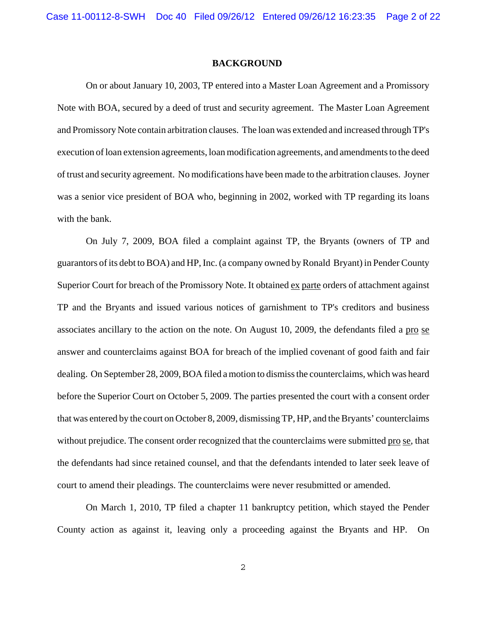### **BACKGROUND**

On or about January 10, 2003, TP entered into a Master Loan Agreement and a Promissory Note with BOA, secured by a deed of trust and security agreement. The Master Loan Agreement and Promissory Note contain arbitration clauses. The loan was extended and increased through TP's execution of loan extension agreements, loan modification agreements, and amendments to the deed of trust and security agreement. No modifications have been made to the arbitration clauses. Joyner was a senior vice president of BOA who, beginning in 2002, worked with TP regarding its loans with the bank.

On July 7, 2009, BOA filed a complaint against TP, the Bryants (owners of TP and guarantors of its debt to BOA) and HP, Inc. (a company owned by Ronald Bryant) in Pender County Superior Court for breach of the Promissory Note. It obtained ex parte orders of attachment against TP and the Bryants and issued various notices of garnishment to TP's creditors and business associates ancillary to the action on the note. On August 10, 2009, the defendants filed a pro se answer and counterclaims against BOA for breach of the implied covenant of good faith and fair dealing. On September 28, 2009, BOA filed a motion to dismiss the counterclaims, which was heard before the Superior Court on October 5, 2009. The parties presented the court with a consent order that was entered by the court on October 8, 2009, dismissing TP, HP, and the Bryants' counterclaims without prejudice. The consent order recognized that the counterclaims were submitted pro se, that the defendants had since retained counsel, and that the defendants intended to later seek leave of court to amend their pleadings. The counterclaims were never resubmitted or amended.

On March 1, 2010, TP filed a chapter 11 bankruptcy petition, which stayed the Pender County action as against it, leaving only a proceeding against the Bryants and HP. On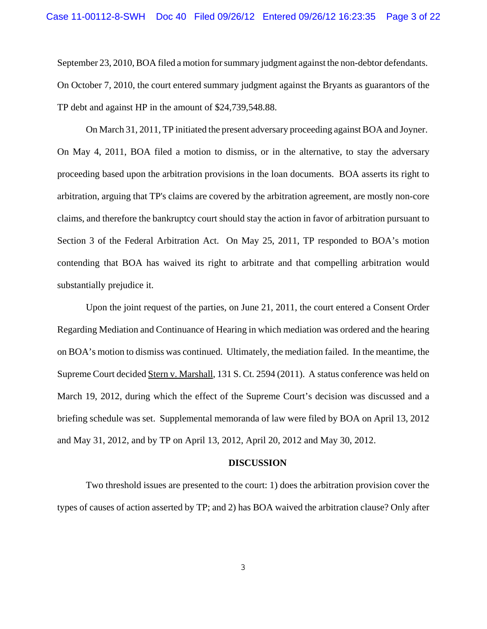September 23, 2010, BOA filed a motion for summary judgment against the non-debtor defendants. On October 7, 2010, the court entered summary judgment against the Bryants as guarantors of the TP debt and against HP in the amount of \$24,739,548.88.

On March 31, 2011, TP initiated the present adversary proceeding against BOA and Joyner. On May 4, 2011, BOA filed a motion to dismiss, or in the alternative, to stay the adversary proceeding based upon the arbitration provisions in the loan documents. BOA asserts its right to arbitration, arguing that TP's claims are covered by the arbitration agreement, are mostly non-core claims, and therefore the bankruptcy court should stay the action in favor of arbitration pursuant to Section 3 of the Federal Arbitration Act. On May 25, 2011, TP responded to BOA's motion contending that BOA has waived its right to arbitrate and that compelling arbitration would substantially prejudice it.

Upon the joint request of the parties, on June 21, 2011, the court entered a Consent Order Regarding Mediation and Continuance of Hearing in which mediation was ordered and the hearing on BOA's motion to dismiss was continued. Ultimately, the mediation failed. In the meantime, the Supreme Court decided Stern v. Marshall, 131 S. Ct. 2594 (2011). A status conference was held on March 19, 2012, during which the effect of the Supreme Court's decision was discussed and a briefing schedule was set. Supplemental memoranda of law were filed by BOA on April 13, 2012 and May 31, 2012, and by TP on April 13, 2012, April 20, 2012 and May 30, 2012.

### **DISCUSSION**

Two threshold issues are presented to the court: 1) does the arbitration provision cover the types of causes of action asserted by TP; and 2) has BOA waived the arbitration clause? Only after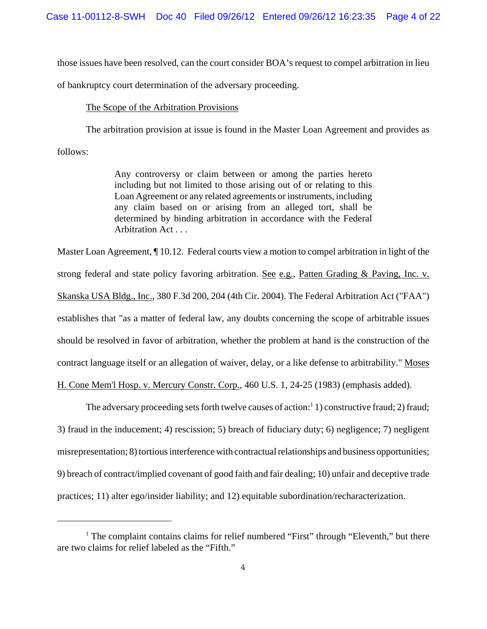those issues have been resolved, can the court consider BOA's request to compel arbitration in lieu

of bankruptcy court determination of the adversary proceeding.

#### The Scope of the Arbitration Provisions

The arbitration provision at issue is found in the Master Loan Agreement and provides as follows:

> Any controversy or claim between or among the parties hereto including but not limited to those arising out of or relating to this Loan Agreement or any related agreements or instruments, including any claim based on or arising from an alleged tort, shall be determined by binding arbitration in accordance with the Federal Arbitration Act . . .

Master Loan Agreement, ¶ 10.12. Federal courts view a motion to compel arbitration in light of the strong federal and state policy favoring arbitration. See e.g., Patten Grading & Paving, Inc. v. Skanska USA Bldg., Inc., 380 F.3d 200, 204 (4th Cir. 2004). The Federal Arbitration Act ("FAA") establishes that "as a matter of federal law, any doubts concerning the scope of arbitrable issues should be resolved in favor of arbitration, whether the problem at hand is the construction of the contract language itself or an allegation of waiver, delay, or a like defense to arbitrability." Moses

H. Cone Mem'l Hosp. v. Mercury Constr. Corp., 460 U.S. 1, 24-25 (1983) (emphasis added).

The adversary proceeding sets forth twelve causes of action:<sup>1</sup> 1) constructive fraud; 2) fraud; 3) fraud in the inducement; 4) rescission; 5) breach of fiduciary duty; 6) negligence; 7) negligent misrepresentation; 8) tortious interference with contractual relationships and business opportunities; 9) breach of contract/implied covenant of good faith and fair dealing; 10) unfair and deceptive trade practices; 11) alter ego/insider liability; and 12) equitable subordination/recharacterization.

<sup>&</sup>lt;sup>1</sup> The complaint contains claims for relief numbered "First" through "Eleventh," but there are two claims for relief labeled as the "Fifth."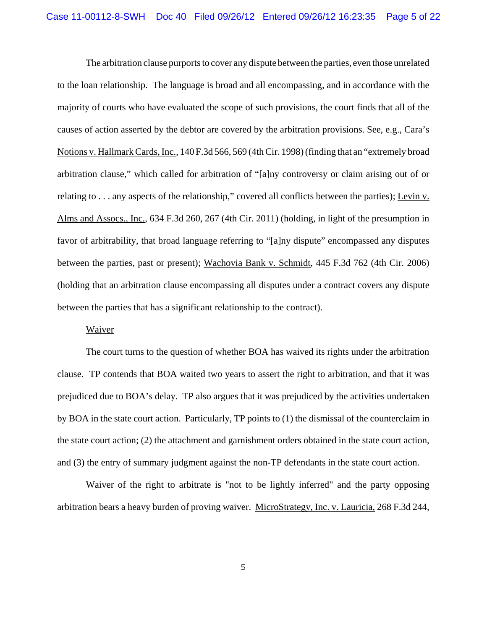The arbitration clause purports to cover any dispute between the parties, even those unrelated to the loan relationship. The language is broad and all encompassing, and in accordance with the majority of courts who have evaluated the scope of such provisions, the court finds that all of the causes of action asserted by the debtor are covered by the arbitration provisions. See, e.g., Cara's Notions v. Hallmark Cards, Inc., 140 F.3d 566, 569 (4th Cir. 1998) (finding that an "extremely broad arbitration clause," which called for arbitration of "[a]ny controversy or claim arising out of or relating to  $\dots$  any aspects of the relationship," covered all conflicts between the parties); Levin v. Alms and Assocs., Inc., 634 F.3d 260, 267 (4th Cir. 2011) (holding, in light of the presumption in favor of arbitrability, that broad language referring to "[a]ny dispute" encompassed any disputes between the parties, past or present); Wachovia Bank v. Schmidt, 445 F.3d 762 (4th Cir. 2006) (holding that an arbitration clause encompassing all disputes under a contract covers any dispute between the parties that has a significant relationship to the contract).

#### Waiver

The court turns to the question of whether BOA has waived its rights under the arbitration clause. TP contends that BOA waited two years to assert the right to arbitration, and that it was prejudiced due to BOA's delay. TP also argues that it was prejudiced by the activities undertaken by BOA in the state court action. Particularly, TP points to (1) the dismissal of the counterclaim in the state court action; (2) the attachment and garnishment orders obtained in the state court action, and (3) the entry of summary judgment against the non-TP defendants in the state court action.

Waiver of the right to arbitrate is "not to be lightly inferred" and the party opposing arbitration bears a heavy burden of proving waiver. MicroStrategy, Inc. v. Lauricia, 268 F.3d 244,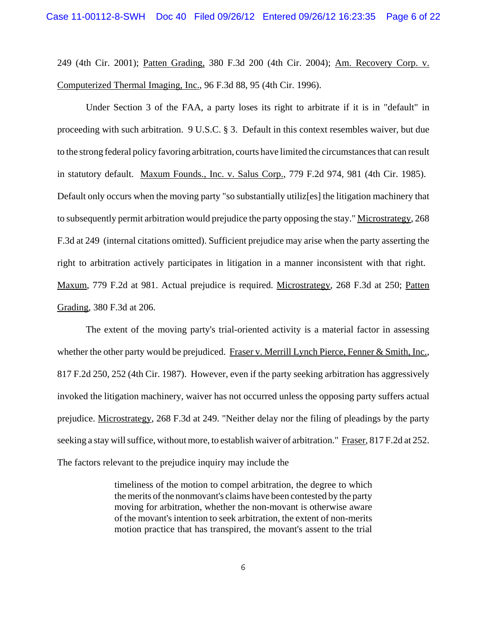249 (4th Cir. 2001); Patten Grading, 380 F.3d 200 (4th Cir. 2004); Am. Recovery Corp. v. Computerized Thermal Imaging, Inc., 96 F.3d 88, 95 (4th Cir. 1996).

Under Section 3 of the FAA, a party loses its right to arbitrate if it is in "default" in proceeding with such arbitration. 9 U.S.C. § 3. Default in this context resembles waiver, but due to the strong federal policy favoring arbitration, courts have limited the circumstances that can result in statutory default. Maxum Founds., Inc. v. Salus Corp., 779 F.2d 974, 981 (4th Cir. 1985). Default only occurs when the moving party "so substantially utiliz[es] the litigation machinery that to subsequently permit arbitration would prejudice the party opposing the stay." Microstrategy, 268 F.3d at 249 (internal citations omitted). Sufficient prejudice may arise when the party asserting the right to arbitration actively participates in litigation in a manner inconsistent with that right. Maxum, 779 F.2d at 981. Actual prejudice is required. Microstrategy, 268 F.3d at 250; Patten Grading, 380 F.3d at 206.

The extent of the moving party's trial-oriented activity is a material factor in assessing whether the other party would be prejudiced. Fraser v. Merrill Lynch Pierce, Fenner & Smith, Inc., 817 F.2d 250, 252 (4th Cir. 1987). However, even if the party seeking arbitration has aggressively invoked the litigation machinery, waiver has not occurred unless the opposing party suffers actual prejudice. Microstrategy, 268 F.3d at 249. "Neither delay nor the filing of pleadings by the party seeking a stay will suffice, without more, to establish waiver of arbitration." Fraser, 817 F.2d at 252. The factors relevant to the prejudice inquiry may include the

> timeliness of the motion to compel arbitration, the degree to which the merits of the nonmovant's claims have been contested by the party moving for arbitration, whether the non-movant is otherwise aware of the movant's intention to seek arbitration, the extent of non-merits motion practice that has transpired, the movant's assent to the trial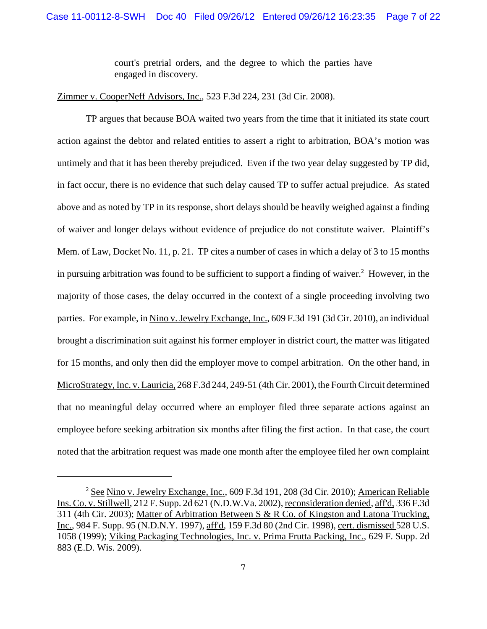court's pretrial orders, and the degree to which the parties have engaged in discovery.

# Zimmer v. CooperNeff Advisors, Inc., 523 F.3d 224, 231 (3d Cir. 2008).

TP argues that because BOA waited two years from the time that it initiated its state court action against the debtor and related entities to assert a right to arbitration, BOA's motion was untimely and that it has been thereby prejudiced. Even if the two year delay suggested by TP did, in fact occur, there is no evidence that such delay caused TP to suffer actual prejudice. As stated above and as noted by TP in its response, short delays should be heavily weighed against a finding of waiver and longer delays without evidence of prejudice do not constitute waiver. Plaintiff's Mem. of Law, Docket No. 11, p. 21. TP cites a number of cases in which a delay of 3 to 15 months in pursuing arbitration was found to be sufficient to support a finding of waiver. $2$  However, in the majority of those cases, the delay occurred in the context of a single proceeding involving two parties. For example, in Nino v. Jewelry Exchange, Inc., 609 F.3d 191 (3d Cir. 2010), an individual brought a discrimination suit against his former employer in district court, the matter was litigated for 15 months, and only then did the employer move to compel arbitration. On the other hand, in MicroStrategy, Inc. v. Lauricia, 268 F.3d 244, 249-51 (4th Cir. 2001), the Fourth Circuit determined that no meaningful delay occurred where an employer filed three separate actions against an employee before seeking arbitration six months after filing the first action. In that case, the court noted that the arbitration request was made one month after the employee filed her own complaint

<sup>&</sup>lt;sup>2</sup> See Nino v. Jewelry Exchange, Inc., 609 F.3d 191, 208 (3d Cir. 2010); American Reliable Ins. Co. v. Stillwell, 212 F. Supp. 2d 621 (N.D.W.Va. 2002), reconsideration denied, aff'd, 336 F.3d 311 (4th Cir. 2003); Matter of Arbitration Between S & R Co. of Kingston and Latona Trucking, Inc., 984 F. Supp. 95 (N.D.N.Y. 1997), aff'd, 159 F.3d 80 (2nd Cir. 1998), cert. dismissed 528 U.S. 1058 (1999); Viking Packaging Technologies, Inc. v. Prima Frutta Packing, Inc., 629 F. Supp. 2d 883 (E.D. Wis. 2009).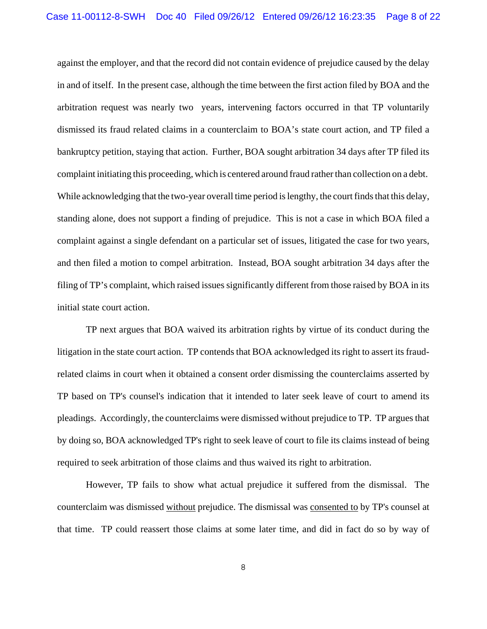against the employer, and that the record did not contain evidence of prejudice caused by the delay in and of itself. In the present case, although the time between the first action filed by BOA and the arbitration request was nearly two years, intervening factors occurred in that TP voluntarily dismissed its fraud related claims in a counterclaim to BOA's state court action, and TP filed a bankruptcy petition, staying that action. Further, BOA sought arbitration 34 days after TP filed its complaint initiating this proceeding, which is centered around fraud rather than collection on a debt. While acknowledging that the two-year overall time period is lengthy, the court finds that this delay, standing alone, does not support a finding of prejudice. This is not a case in which BOA filed a complaint against a single defendant on a particular set of issues, litigated the case for two years, and then filed a motion to compel arbitration. Instead, BOA sought arbitration 34 days after the filing of TP's complaint, which raised issues significantly different from those raised by BOA in its initial state court action.

TP next argues that BOA waived its arbitration rights by virtue of its conduct during the litigation in the state court action. TP contends that BOA acknowledged its right to assert its fraudrelated claims in court when it obtained a consent order dismissing the counterclaims asserted by TP based on TP's counsel's indication that it intended to later seek leave of court to amend its pleadings. Accordingly, the counterclaims were dismissed without prejudice to TP. TP argues that by doing so, BOA acknowledged TP's right to seek leave of court to file its claims instead of being required to seek arbitration of those claims and thus waived its right to arbitration.

However, TP fails to show what actual prejudice it suffered from the dismissal. The counterclaim was dismissed without prejudice. The dismissal was consented to by TP's counsel at that time. TP could reassert those claims at some later time, and did in fact do so by way of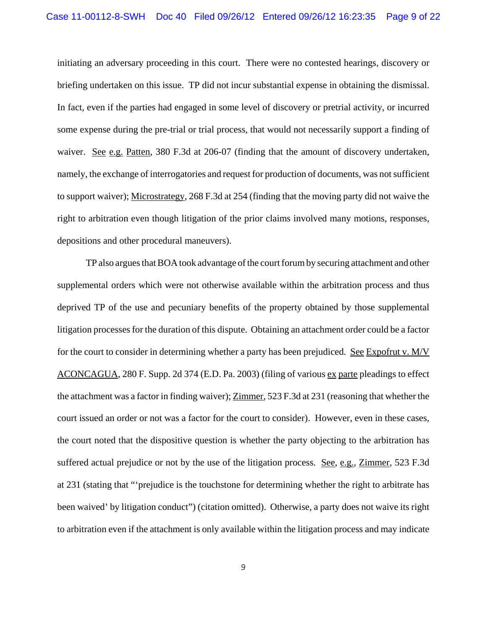initiating an adversary proceeding in this court. There were no contested hearings, discovery or briefing undertaken on this issue. TP did not incur substantial expense in obtaining the dismissal. In fact, even if the parties had engaged in some level of discovery or pretrial activity, or incurred some expense during the pre-trial or trial process, that would not necessarily support a finding of waiver. See e.g. Patten, 380 F.3d at 206-07 (finding that the amount of discovery undertaken, namely, the exchange of interrogatories and request for production of documents, was not sufficient to support waiver); Microstrategy, 268 F.3d at 254 (finding that the moving party did not waive the right to arbitration even though litigation of the prior claims involved many motions, responses, depositions and other procedural maneuvers).

TP also argues that BOA took advantage of the court forum by securing attachment and other supplemental orders which were not otherwise available within the arbitration process and thus deprived TP of the use and pecuniary benefits of the property obtained by those supplemental litigation processes for the duration of this dispute. Obtaining an attachment order could be a factor for the court to consider in determining whether a party has been prejudiced. See Expofrut v. M/V ACONCAGUA, 280 F. Supp. 2d 374 (E.D. Pa. 2003) (filing of various ex parte pleadings to effect the attachment was a factor in finding waiver); Zimmer, 523 F.3d at 231 (reasoning that whether the court issued an order or not was a factor for the court to consider). However, even in these cases, the court noted that the dispositive question is whether the party objecting to the arbitration has suffered actual prejudice or not by the use of the litigation process. See, e.g., Zimmer, 523 F.3d at 231 (stating that "'prejudice is the touchstone for determining whether the right to arbitrate has been waived' by litigation conduct") (citation omitted). Otherwise, a party does not waive its right to arbitration even if the attachment is only available within the litigation process and may indicate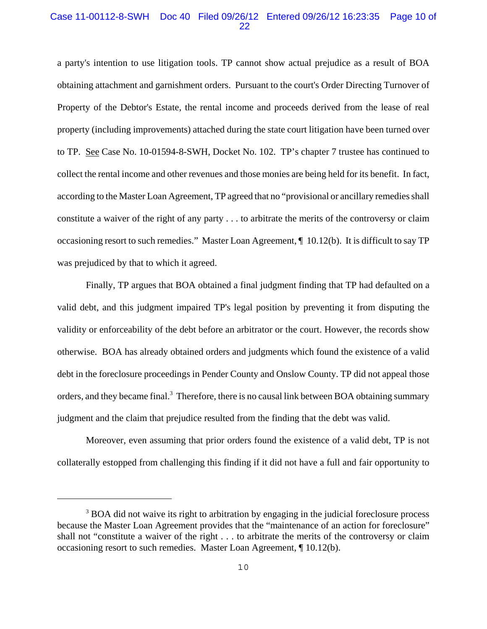# Case 11-00112-8-SWH Doc 40 Filed 09/26/12 Entered 09/26/12 16:23:35 Page 10 of 22

a party's intention to use litigation tools. TP cannot show actual prejudice as a result of BOA obtaining attachment and garnishment orders. Pursuant to the court's Order Directing Turnover of Property of the Debtor's Estate, the rental income and proceeds derived from the lease of real property (including improvements) attached during the state court litigation have been turned over to TP. See Case No. 10-01594-8-SWH, Docket No. 102. TP's chapter 7 trustee has continued to collect the rental income and other revenues and those monies are being held for its benefit. In fact, according to the Master Loan Agreement, TP agreed that no "provisional or ancillary remedies shall constitute a waiver of the right of any party . . . to arbitrate the merits of the controversy or claim occasioning resort to such remedies." Master Loan Agreement, ¶ 10.12(b). It is difficult to say TP was prejudiced by that to which it agreed.

Finally, TP argues that BOA obtained a final judgment finding that TP had defaulted on a valid debt, and this judgment impaired TP's legal position by preventing it from disputing the validity or enforceability of the debt before an arbitrator or the court. However, the records show otherwise. BOA has already obtained orders and judgments which found the existence of a valid debt in the foreclosure proceedings in Pender County and Onslow County. TP did not appeal those orders, and they became final.<sup>3</sup> Therefore, there is no causal link between BOA obtaining summary judgment and the claim that prejudice resulted from the finding that the debt was valid.

Moreover, even assuming that prior orders found the existence of a valid debt, TP is not collaterally estopped from challenging this finding if it did not have a full and fair opportunity to

<sup>&</sup>lt;sup>3</sup> BOA did not waive its right to arbitration by engaging in the judicial foreclosure process because the Master Loan Agreement provides that the "maintenance of an action for foreclosure" shall not "constitute a waiver of the right . . . to arbitrate the merits of the controversy or claim occasioning resort to such remedies. Master Loan Agreement, ¶ 10.12(b).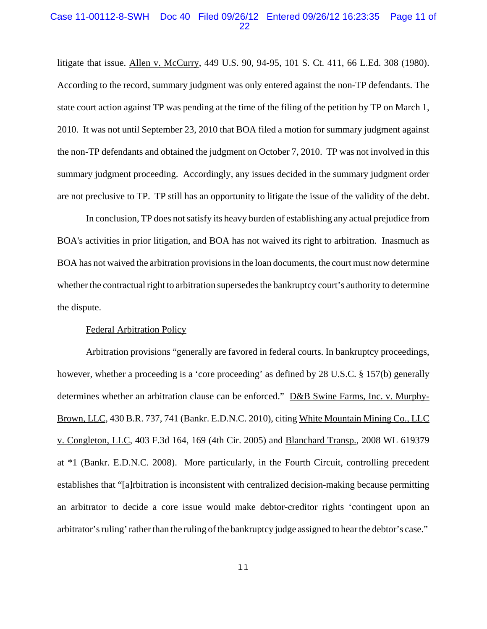### Case 11-00112-8-SWH Doc 40 Filed 09/26/12 Entered 09/26/12 16:23:35 Page 11 of 22

litigate that issue. Allen v. McCurry, 449 U.S. 90, 94-95, 101 S. Ct. 411, 66 L.Ed. 308 (1980). According to the record, summary judgment was only entered against the non-TP defendants. The state court action against TP was pending at the time of the filing of the petition by TP on March 1, 2010. It was not until September 23, 2010 that BOA filed a motion for summary judgment against the non-TP defendants and obtained the judgment on October 7, 2010. TP was not involved in this summary judgment proceeding. Accordingly, any issues decided in the summary judgment order are not preclusive to TP. TP still has an opportunity to litigate the issue of the validity of the debt.

In conclusion, TP does not satisfy its heavy burden of establishing any actual prejudice from BOA's activities in prior litigation, and BOA has not waived its right to arbitration. Inasmuch as BOA has not waived the arbitration provisions in the loan documents, the court must now determine whether the contractual right to arbitration supersedes the bankruptcy court's authority to determine the dispute.

#### Federal Arbitration Policy

Arbitration provisions "generally are favored in federal courts. In bankruptcy proceedings, however, whether a proceeding is a 'core proceeding' as defined by 28 U.S.C. § 157(b) generally determines whether an arbitration clause can be enforced." D&B Swine Farms, Inc. v. Murphy-Brown, LLC, 430 B.R. 737, 741 (Bankr. E.D.N.C. 2010), citing White Mountain Mining Co., LLC v. Congleton, LLC, 403 F.3d 164, 169 (4th Cir. 2005) and Blanchard Transp., 2008 WL 619379 at \*1 (Bankr. E.D.N.C. 2008). More particularly, in the Fourth Circuit, controlling precedent establishes that "[a]rbitration is inconsistent with centralized decision-making because permitting an arbitrator to decide a core issue would make debtor-creditor rights 'contingent upon an arbitrator's ruling' rather than the ruling of the bankruptcy judge assigned to hear the debtor's case."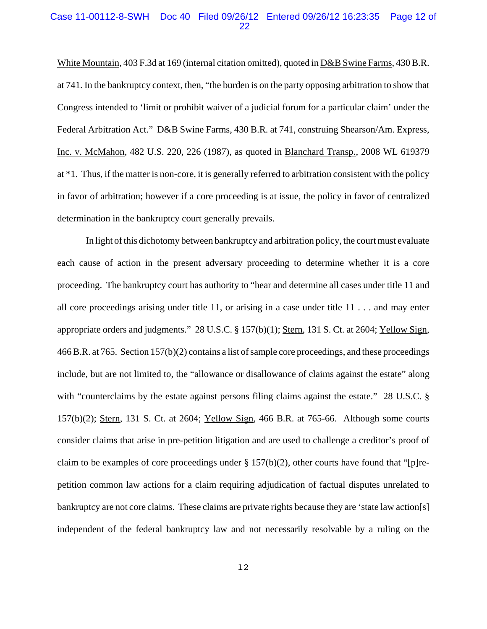### Case 11-00112-8-SWH Doc 40 Filed 09/26/12 Entered 09/26/12 16:23:35 Page 12 of 22

White Mountain, 403 F.3d at 169 (internal citation omitted), quoted in D&B Swine Farms, 430 B.R. at 741. In the bankruptcy context, then, "the burden is on the party opposing arbitration to show that Congress intended to 'limit or prohibit waiver of a judicial forum for a particular claim' under the Federal Arbitration Act." D&B Swine Farms, 430 B.R. at 741, construing Shearson/Am. Express, Inc. v. McMahon, 482 U.S. 220, 226 (1987), as quoted in Blanchard Transp., 2008 WL 619379 at \*1. Thus, if the matter is non-core, it is generally referred to arbitration consistent with the policy in favor of arbitration; however if a core proceeding is at issue, the policy in favor of centralized determination in the bankruptcy court generally prevails.

In light of this dichotomy between bankruptcy and arbitration policy, the court must evaluate each cause of action in the present adversary proceeding to determine whether it is a core proceeding. The bankruptcy court has authority to "hear and determine all cases under title 11 and all core proceedings arising under title 11, or arising in a case under title 11 . . . and may enter appropriate orders and judgments." 28 U.S.C. § 157(b)(1); Stern, 131 S. Ct. at 2604; Yellow Sign, 466 B.R. at 765. Section 157(b)(2) contains a list of sample core proceedings, and these proceedings include, but are not limited to, the "allowance or disallowance of claims against the estate" along with "counterclaims by the estate against persons filing claims against the estate." 28 U.S.C. § 157(b)(2); Stern, 131 S. Ct. at 2604; Yellow Sign, 466 B.R. at 765-66. Although some courts consider claims that arise in pre-petition litigation and are used to challenge a creditor's proof of claim to be examples of core proceedings under § 157(b)(2), other courts have found that "[p]repetition common law actions for a claim requiring adjudication of factual disputes unrelated to bankruptcy are not core claims. These claims are private rights because they are 'state law action[s] independent of the federal bankruptcy law and not necessarily resolvable by a ruling on the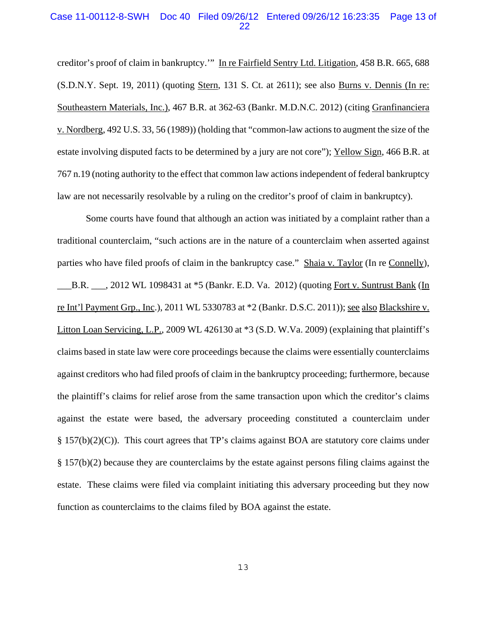# Case 11-00112-8-SWH Doc 40 Filed 09/26/12 Entered 09/26/12 16:23:35 Page 13 of 22

creditor's proof of claim in bankruptcy.'" In re Fairfield Sentry Ltd. Litigation, 458 B.R. 665, 688 (S.D.N.Y. Sept. 19, 2011) (quoting Stern, 131 S. Ct. at 2611); see also Burns v. Dennis (In re: Southeastern Materials, Inc.), 467 B.R. at 362-63 (Bankr. M.D.N.C. 2012) (citing Granfinanciera v. Nordberg, 492 U.S. 33, 56 (1989)) (holding that "common-law actions to augment the size of the estate involving disputed facts to be determined by a jury are not core"); Yellow Sign, 466 B.R. at 767 n.19 (noting authority to the effect that common law actions independent of federal bankruptcy law are not necessarily resolvable by a ruling on the creditor's proof of claim in bankruptcy).

Some courts have found that although an action was initiated by a complaint rather than a traditional counterclaim, "such actions are in the nature of a counterclaim when asserted against parties who have filed proofs of claim in the bankruptcy case." Shaia v. Taylor (In re Connelly), B.R.  $\ldots$ , 2012 WL 1098431 at \*5 (Bankr. E.D. Va. 2012) (quoting Fort v. Suntrust Bank (In re Int'l Payment Grp., Inc.), 2011 WL 5330783 at \*2 (Bankr. D.S.C. 2011)); see also Blackshire v. Litton Loan Servicing, L.P., 2009 WL 426130 at \*3 (S.D. W.Va. 2009) (explaining that plaintiff's claims based in state law were core proceedings because the claims were essentially counterclaims against creditors who had filed proofs of claim in the bankruptcy proceeding; furthermore, because the plaintiff's claims for relief arose from the same transaction upon which the creditor's claims against the estate were based, the adversary proceeding constituted a counterclaim under § 157(b)(2)(C)). This court agrees that TP's claims against BOA are statutory core claims under § 157(b)(2) because they are counterclaims by the estate against persons filing claims against the estate. These claims were filed via complaint initiating this adversary proceeding but they now function as counterclaims to the claims filed by BOA against the estate.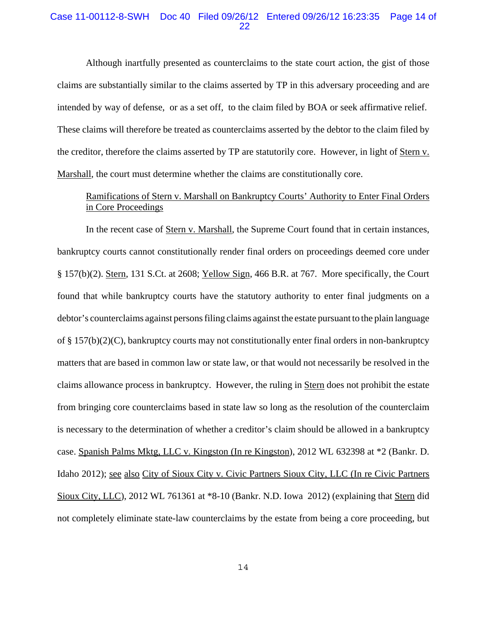# Case 11-00112-8-SWH Doc 40 Filed 09/26/12 Entered 09/26/12 16:23:35 Page 14 of 22

Although inartfully presented as counterclaims to the state court action, the gist of those claims are substantially similar to the claims asserted by TP in this adversary proceeding and are intended by way of defense, or as a set off, to the claim filed by BOA or seek affirmative relief. These claims will therefore be treated as counterclaims asserted by the debtor to the claim filed by the creditor, therefore the claims asserted by TP are statutorily core. However, in light of Stern v. Marshall, the court must determine whether the claims are constitutionally core.

# Ramifications of Stern v. Marshall on Bankruptcy Courts' Authority to Enter Final Orders in Core Proceedings

In the recent case of Stern v. Marshall, the Supreme Court found that in certain instances, bankruptcy courts cannot constitutionally render final orders on proceedings deemed core under § 157(b)(2). Stern, 131 S.Ct. at 2608; Yellow Sign, 466 B.R. at 767. More specifically, the Court found that while bankruptcy courts have the statutory authority to enter final judgments on a debtor's counterclaims against persons filing claims against the estate pursuant to the plain language of § 157(b)(2)(C), bankruptcy courts may not constitutionally enter final orders in non-bankruptcy matters that are based in common law or state law, or that would not necessarily be resolved in the claims allowance process in bankruptcy. However, the ruling in Stern does not prohibit the estate from bringing core counterclaims based in state law so long as the resolution of the counterclaim is necessary to the determination of whether a creditor's claim should be allowed in a bankruptcy case. Spanish Palms Mktg, LLC v. Kingston (In re Kingston), 2012 WL 632398 at \*2 (Bankr. D. Idaho 2012); see also City of Sioux City v. Civic Partners Sioux City, LLC (In re Civic Partners Sioux City, LLC), 2012 WL 761361 at \*8-10 (Bankr. N.D. Iowa 2012) (explaining that Stern did not completely eliminate state-law counterclaims by the estate from being a core proceeding, but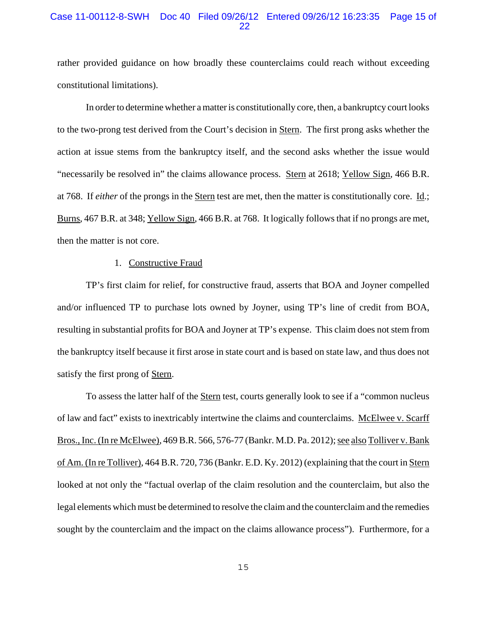# Case 11-00112-8-SWH Doc 40 Filed 09/26/12 Entered 09/26/12 16:23:35 Page 15 of 22

rather provided guidance on how broadly these counterclaims could reach without exceeding constitutional limitations).

In order to determine whether a matter is constitutionally core, then, a bankruptcy court looks to the two-prong test derived from the Court's decision in Stern. The first prong asks whether the action at issue stems from the bankruptcy itself, and the second asks whether the issue would "necessarily be resolved in" the claims allowance process. Stern at 2618; Yellow Sign, 466 B.R. at 768. If *either* of the prongs in the Stern test are met, then the matter is constitutionally core. Id.; Burns, 467 B.R. at 348; Yellow Sign, 466 B.R. at 768. It logically follows that if no prongs are met, then the matter is not core.

## 1. Constructive Fraud

TP's first claim for relief, for constructive fraud, asserts that BOA and Joyner compelled and/or influenced TP to purchase lots owned by Joyner, using TP's line of credit from BOA, resulting in substantial profits for BOA and Joyner at TP's expense. This claim does not stem from the bankruptcy itself because it first arose in state court and is based on state law, and thus does not satisfy the first prong of Stern.

To assess the latter half of the Stern test, courts generally look to see if a "common nucleus" of law and fact" exists to inextricably intertwine the claims and counterclaims. McElwee v. Scarff Bros., Inc. (In re McElwee), 469 B.R. 566, 576-77 (Bankr. M.D. Pa. 2012); see also Tolliver v. Bank of Am. (In re Tolliver), 464 B.R. 720, 736 (Bankr. E.D. Ky. 2012) (explaining that the court in Stern looked at not only the "factual overlap of the claim resolution and the counterclaim, but also the legal elements which must be determined to resolve the claim and the counterclaim and the remedies sought by the counterclaim and the impact on the claims allowance process"). Furthermore, for a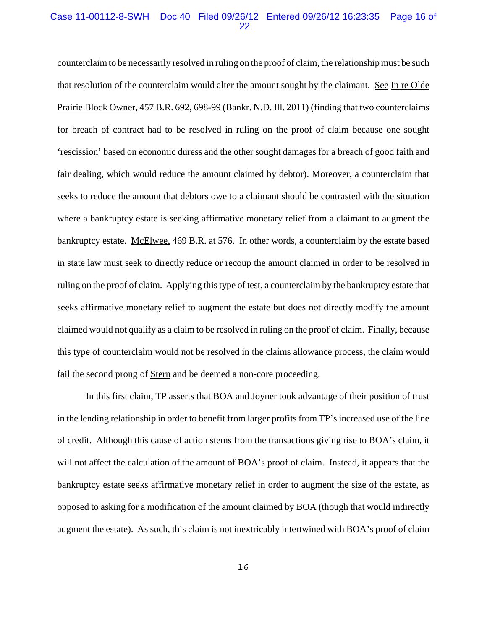# Case 11-00112-8-SWH Doc 40 Filed 09/26/12 Entered 09/26/12 16:23:35 Page 16 of 22

counterclaim to be necessarily resolved in ruling on the proof of claim, the relationship must be such that resolution of the counterclaim would alter the amount sought by the claimant. See In re Olde Prairie Block Owner, 457 B.R. 692, 698-99 (Bankr. N.D. Ill. 2011) (finding that two counterclaims for breach of contract had to be resolved in ruling on the proof of claim because one sought 'rescission' based on economic duress and the other sought damages for a breach of good faith and fair dealing, which would reduce the amount claimed by debtor). Moreover, a counterclaim that seeks to reduce the amount that debtors owe to a claimant should be contrasted with the situation where a bankruptcy estate is seeking affirmative monetary relief from a claimant to augment the bankruptcy estate. McElwee, 469 B.R. at 576. In other words, a counterclaim by the estate based in state law must seek to directly reduce or recoup the amount claimed in order to be resolved in ruling on the proof of claim. Applying this type of test, a counterclaim by the bankruptcy estate that seeks affirmative monetary relief to augment the estate but does not directly modify the amount claimed would not qualify as a claim to be resolved in ruling on the proof of claim. Finally, because this type of counterclaim would not be resolved in the claims allowance process, the claim would fail the second prong of Stern and be deemed a non-core proceeding.

In this first claim, TP asserts that BOA and Joyner took advantage of their position of trust in the lending relationship in order to benefit from larger profits from TP's increased use of the line of credit. Although this cause of action stems from the transactions giving rise to BOA's claim, it will not affect the calculation of the amount of BOA's proof of claim. Instead, it appears that the bankruptcy estate seeks affirmative monetary relief in order to augment the size of the estate, as opposed to asking for a modification of the amount claimed by BOA (though that would indirectly augment the estate). As such, this claim is not inextricably intertwined with BOA's proof of claim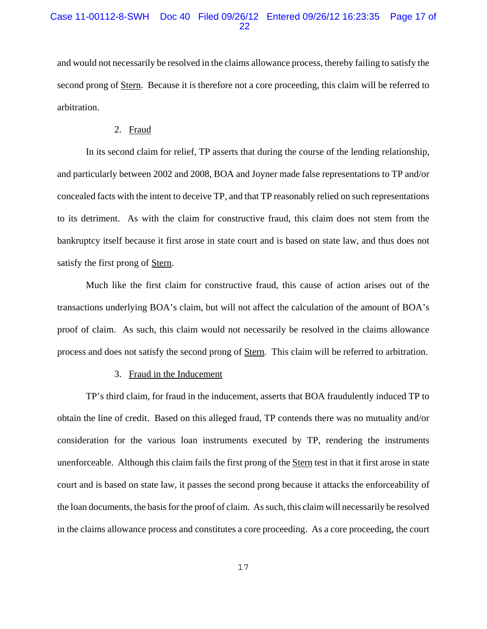and would not necessarily be resolved in the claims allowance process, thereby failing to satisfy the second prong of <u>Stern</u>. Because it is therefore not a core proceeding, this claim will be referred to arbitration.

#### 2. Fraud

In its second claim for relief, TP asserts that during the course of the lending relationship, and particularly between 2002 and 2008, BOA and Joyner made false representations to TP and/or concealed facts with the intent to deceive TP, and that TP reasonably relied on such representations to its detriment. As with the claim for constructive fraud, this claim does not stem from the bankruptcy itself because it first arose in state court and is based on state law, and thus does not satisfy the first prong of Stern.

Much like the first claim for constructive fraud, this cause of action arises out of the transactions underlying BOA's claim, but will not affect the calculation of the amount of BOA's proof of claim. As such, this claim would not necessarily be resolved in the claims allowance process and does not satisfy the second prong of Stern. This claim will be referred to arbitration.

### 3. Fraud in the Inducement

TP's third claim, for fraud in the inducement, asserts that BOA fraudulently induced TP to obtain the line of credit. Based on this alleged fraud, TP contends there was no mutuality and/or consideration for the various loan instruments executed by TP, rendering the instruments unenforceable. Although this claim fails the first prong of the Stern test in that it first arose in state court and is based on state law, it passes the second prong because it attacks the enforceability of the loan documents, the basis for the proof of claim. As such, this claim will necessarily be resolved in the claims allowance process and constitutes a core proceeding. As a core proceeding, the court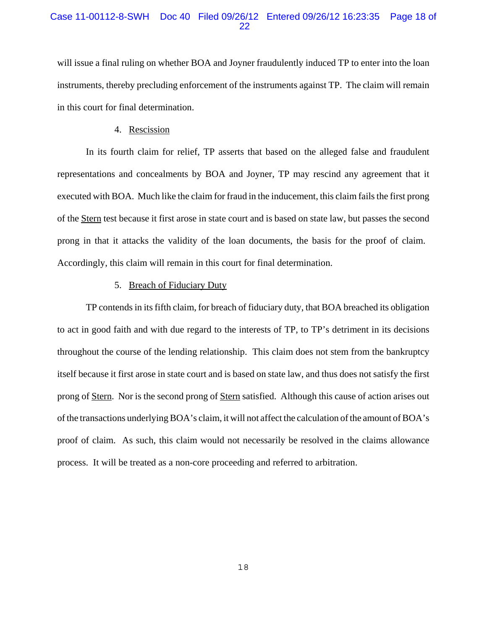# Case 11-00112-8-SWH Doc 40 Filed 09/26/12 Entered 09/26/12 16:23:35 Page 18 of 22

will issue a final ruling on whether BOA and Joyner fraudulently induced TP to enter into the loan instruments, thereby precluding enforcement of the instruments against TP. The claim will remain in this court for final determination.

#### 4. Rescission

In its fourth claim for relief, TP asserts that based on the alleged false and fraudulent representations and concealments by BOA and Joyner, TP may rescind any agreement that it executed with BOA. Much like the claim for fraud in the inducement, this claim fails the first prong of the Stern test because it first arose in state court and is based on state law, but passes the second prong in that it attacks the validity of the loan documents, the basis for the proof of claim. Accordingly, this claim will remain in this court for final determination.

## 5. Breach of Fiduciary Duty

TP contends in its fifth claim, for breach of fiduciary duty, that BOA breached its obligation to act in good faith and with due regard to the interests of TP, to TP's detriment in its decisions throughout the course of the lending relationship. This claim does not stem from the bankruptcy itself because it first arose in state court and is based on state law, and thus does not satisfy the first prong of Stern. Nor is the second prong of Stern satisfied. Although this cause of action arises out of the transactions underlying BOA's claim, it will not affect the calculation of the amount of BOA's proof of claim. As such, this claim would not necessarily be resolved in the claims allowance process. It will be treated as a non-core proceeding and referred to arbitration.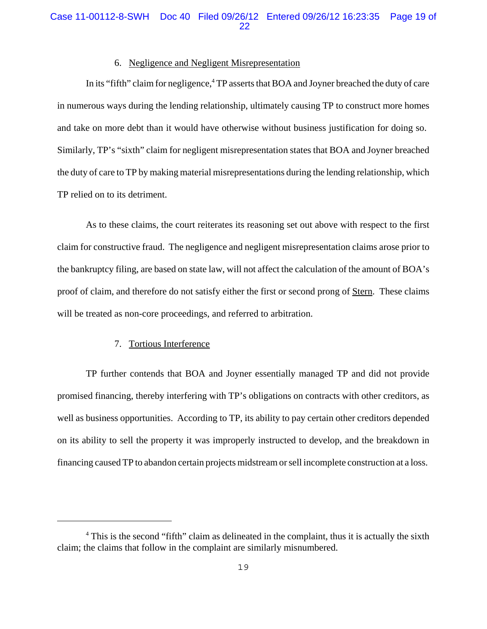# 6. Negligence and Negligent Misrepresentation

In its "fifth" claim for negligence,<sup>4</sup> TP asserts that BOA and Joyner breached the duty of care in numerous ways during the lending relationship, ultimately causing TP to construct more homes and take on more debt than it would have otherwise without business justification for doing so. Similarly, TP's "sixth" claim for negligent misrepresentation states that BOA and Joyner breached the duty of care to TP by making material misrepresentations during the lending relationship, which TP relied on to its detriment.

As to these claims, the court reiterates its reasoning set out above with respect to the first claim for constructive fraud. The negligence and negligent misrepresentation claims arose prior to the bankruptcy filing, are based on state law, will not affect the calculation of the amount of BOA's proof of claim, and therefore do not satisfy either the first or second prong of Stern. These claims will be treated as non-core proceedings, and referred to arbitration.

### 7. Tortious Interference

TP further contends that BOA and Joyner essentially managed TP and did not provide promised financing, thereby interfering with TP's obligations on contracts with other creditors, as well as business opportunities. According to TP, its ability to pay certain other creditors depended on its ability to sell the property it was improperly instructed to develop, and the breakdown in financing caused TP to abandon certain projects midstream or sell incomplete construction at a loss.

<sup>&</sup>lt;sup>4</sup> This is the second "fifth" claim as delineated in the complaint, thus it is actually the sixth claim; the claims that follow in the complaint are similarly misnumbered.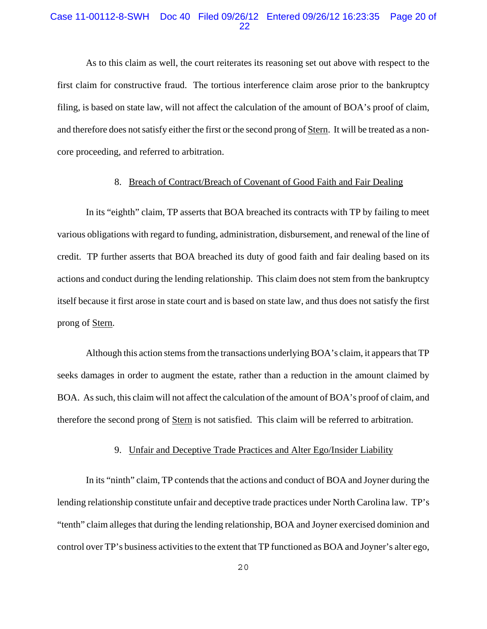# Case 11-00112-8-SWH Doc 40 Filed 09/26/12 Entered 09/26/12 16:23:35 Page 20 of 22

As to this claim as well, the court reiterates its reasoning set out above with respect to the first claim for constructive fraud. The tortious interference claim arose prior to the bankruptcy filing, is based on state law, will not affect the calculation of the amount of BOA's proof of claim, and therefore does not satisfy either the first or the second prong of Stern. It will be treated as a noncore proceeding, and referred to arbitration.

# 8. Breach of Contract/Breach of Covenant of Good Faith and Fair Dealing

In its "eighth" claim, TP asserts that BOA breached its contracts with TP by failing to meet various obligations with regard to funding, administration, disbursement, and renewal of the line of credit. TP further asserts that BOA breached its duty of good faith and fair dealing based on its actions and conduct during the lending relationship. This claim does not stem from the bankruptcy itself because it first arose in state court and is based on state law, and thus does not satisfy the first prong of Stern.

Although this action stems from the transactions underlying BOA's claim, it appears that TP seeks damages in order to augment the estate, rather than a reduction in the amount claimed by BOA. As such, this claim will not affect the calculation of the amount of BOA's proof of claim, and therefore the second prong of Stern is not satisfied. This claim will be referred to arbitration.

# 9. Unfair and Deceptive Trade Practices and Alter Ego/Insider Liability

In its "ninth" claim, TP contends that the actions and conduct of BOA and Joyner during the lending relationship constitute unfair and deceptive trade practices under North Carolina law. TP's "tenth" claim alleges that during the lending relationship, BOA and Joyner exercised dominion and control over TP's business activities to the extent that TP functioned as BOA and Joyner's alter ego,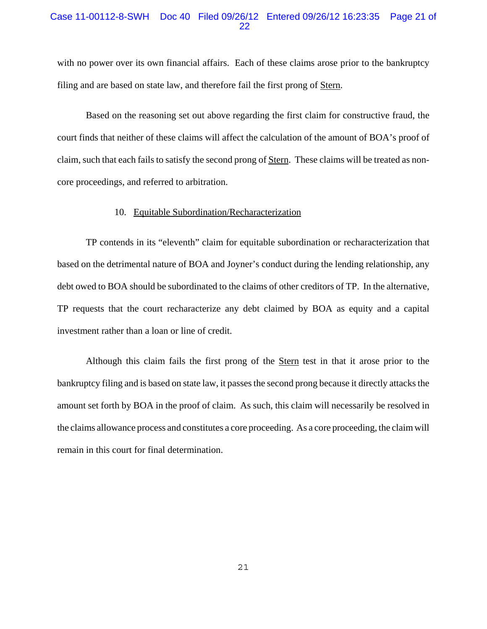# Case 11-00112-8-SWH Doc 40 Filed 09/26/12 Entered 09/26/12 16:23:35 Page 21 of 22

with no power over its own financial affairs. Each of these claims arose prior to the bankruptcy filing and are based on state law, and therefore fail the first prong of Stern.

Based on the reasoning set out above regarding the first claim for constructive fraud, the court finds that neither of these claims will affect the calculation of the amount of BOA's proof of claim, such that each fails to satisfy the second prong of Stern. These claims will be treated as noncore proceedings, and referred to arbitration.

## 10. Equitable Subordination/Recharacterization

TP contends in its "eleventh" claim for equitable subordination or recharacterization that based on the detrimental nature of BOA and Joyner's conduct during the lending relationship, any debt owed to BOA should be subordinated to the claims of other creditors of TP. In the alternative, TP requests that the court recharacterize any debt claimed by BOA as equity and a capital investment rather than a loan or line of credit.

Although this claim fails the first prong of the **Stern** test in that it arose prior to the bankruptcy filing and is based on state law, it passes the second prong because it directly attacks the amount set forth by BOA in the proof of claim. As such, this claim will necessarily be resolved in the claims allowance process and constitutes a core proceeding. As a core proceeding, the claim will remain in this court for final determination.